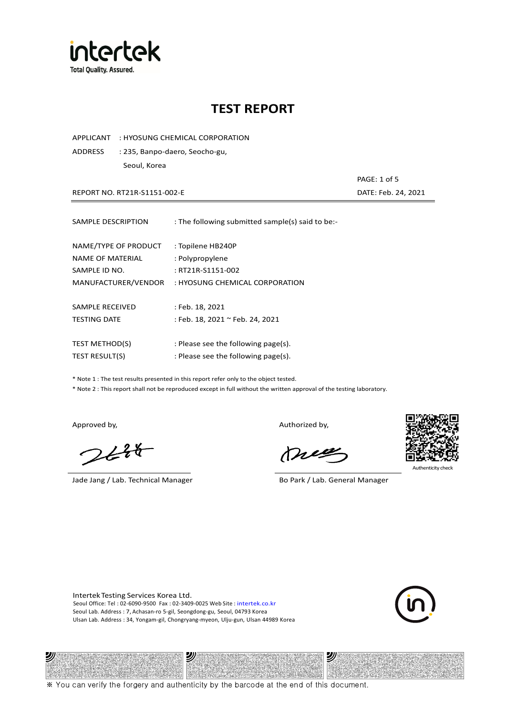

APPLICANT : HYOSUNG CHEMICAL CORPORATION

ADDRESS : 235, Banpo-daero, Seocho-gu, Seoul, Korea

REPORT NO. RT21R-S1151-002-E DATE: Feb. 24, 2021

| SAMPLE DESCRIPTION    | : The following submitted sample(s) said to be:- |
|-----------------------|--------------------------------------------------|
| NAME/TYPE OF PRODUCT  | : Topilene HB240P                                |
| NAME OF MATERIAL      | : Polypropylene                                  |
| SAMPLE ID NO.         | : RT21R-S1151-002                                |
| MANUFACTURER/VENDOR   | : HYOSUNG CHEMICAL CORPORATION                   |
| SAMPLE RECEIVED       | : Feb. 18, 2021                                  |
| <b>TESTING DATE</b>   | : Feb. 18, 2021 ~ Feb. 24, 2021                  |
| <b>TEST METHOD(S)</b> | : Please see the following page(s).              |
| <b>TEST RESULT(S)</b> | : Please see the following page(s).              |

\* Note 1 : The test results presented in this report refer only to the object tested.

\* Note 2 : This report shall not be reproduced except in full without the written approval of the testing laboratory.

 $248$ 

Jade Jang / Lab. Technical Manager Bo Park / Lab. General Manager

Approved by, Authorized by, Authorized by,

mes



Authenticity check

PAGE: 1 of 5

Intertek Testing Services Korea Ltd. Seoul Office: Tel : 02-6090-9500 Fax : 02-3409-0025 Web Site : intertek.co.kr Seoul Lab. Address : 7, Achasan-ro 5-gil, Seongdong-gu, Seoul, 04793 Korea Ulsan Lab. Address : 34, Yongam-gil, Chongryang-myeon, Ulju-gun, Ulsan 44989 Korea



#### 沙 沙 ※ You can verify the forgery and authenticity by the barcode at the end of this document.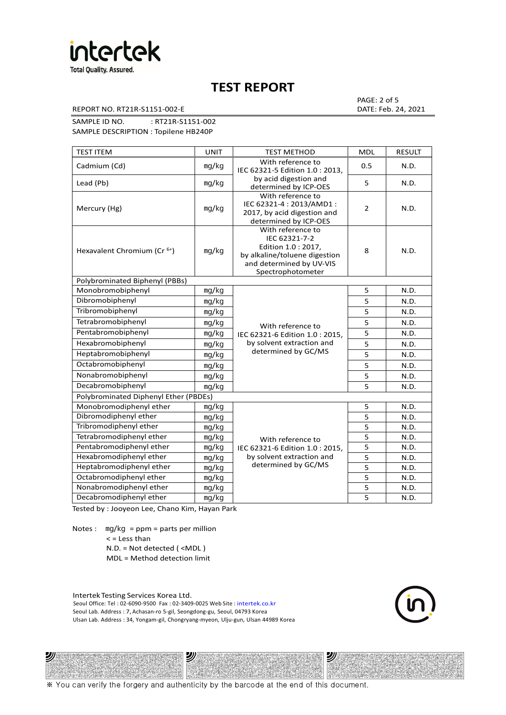

REPORT NO. RT21R-S1151-002-E DATE: Feb. 24, 2021

PAGE: 2 of 5

SAMPLE ID NO. : RT21R-S1151-002 SAMPLE DESCRIPTION : Topilene HB240P

| <b>TEST ITEM</b>                             | <b>UNIT</b>                                                           | <b>TEST METHOD</b>                                                                                                                          | <b>MDL</b>              | <b>RESULT</b> |
|----------------------------------------------|-----------------------------------------------------------------------|---------------------------------------------------------------------------------------------------------------------------------------------|-------------------------|---------------|
| Cadmium (Cd)                                 | mg/kg                                                                 | With reference to<br>IEC 62321-5 Edition 1.0: 2013.                                                                                         | 0.5                     | N.D.          |
| Lead (Pb)                                    | mg/kg                                                                 | by acid digestion and<br>determined by ICP-OES                                                                                              | 5                       | N.D.          |
| Mercury (Hg)                                 | mg/kg                                                                 | With reference to<br>IEC 62321-4 : 2013/AMD1 :<br>2017, by acid digestion and<br>determined by ICP-OES                                      | $\overline{2}$          | N.D.          |
| Hexavalent Chromium (Cr <sup>6+</sup> )      | mg/kg                                                                 | With reference to<br>IEC 62321-7-2<br>Edition 1.0 : 2017,<br>by alkaline/toluene digestion<br>and determined by UV-VIS<br>Spectrophotometer | 8                       | N.D.          |
| Polybrominated Biphenyl (PBBs)               |                                                                       |                                                                                                                                             |                         |               |
| Monobromobiphenyl                            | mg/kg                                                                 |                                                                                                                                             | 5                       | N.D.          |
| Dibromobiphenyl                              | mg/kg                                                                 |                                                                                                                                             | 5                       | N.D.          |
| Tribromobiphenyl                             | mg/kg                                                                 |                                                                                                                                             | 5                       | N.D.          |
| Tetrabromobiphenyl                           | mg/kg<br>With reference to<br>mg/kg<br>IEC 62321-6 Edition 1.0: 2015, | 5                                                                                                                                           | N.D.                    |               |
| Pentabromobiphenyl                           |                                                                       |                                                                                                                                             | 5                       | N.D.          |
| Hexabromobiphenyl                            | mg/kg                                                                 | by solvent extraction and                                                                                                                   | 5                       | N.D.          |
| Heptabromobiphenyl                           | mg/kg                                                                 | determined by GC/MS                                                                                                                         | 5                       | N.D.          |
| Octabromobiphenyl                            | mg/kg                                                                 |                                                                                                                                             | 5                       | N.D.          |
| Nonabromobiphenyl                            | mg/kg                                                                 |                                                                                                                                             | 5                       | N.D.          |
| Decabromobiphenyl                            | mg/kg                                                                 |                                                                                                                                             | 5                       | N.D.          |
| <b>Polybrominated Diphenyl Ether (PBDEs)</b> |                                                                       |                                                                                                                                             |                         |               |
| Monobromodiphenyl ether                      | mg/kg                                                                 |                                                                                                                                             | 5                       | N.D.          |
| Dibromodiphenyl ether                        | mg/kg                                                                 |                                                                                                                                             | 5                       | N.D.          |
| Tribromodiphenyl ether                       | mg/kg                                                                 |                                                                                                                                             | 5                       | N.D.          |
| Tetrabromodiphenyl ether                     | mg/kg                                                                 | With reference to                                                                                                                           | $\overline{\mathbf{5}}$ | N.D.          |
| Pentabromodiphenyl ether                     | mg/kg                                                                 | IEC 62321-6 Edition 1.0: 2015,                                                                                                              | 5                       | N.D.          |
| Hexabromodiphenyl ether                      | mg/kg                                                                 | by solvent extraction and                                                                                                                   | 5                       | N.D.          |
| Heptabromodiphenyl ether                     | mg/kg                                                                 | determined by GC/MS                                                                                                                         | $\overline{5}$          | N.D.          |
| Octabromodiphenyl ether                      | mg/kg                                                                 |                                                                                                                                             | 5                       | N.D.          |
| Nonabromodiphenyl ether                      | mg/kg                                                                 | 5                                                                                                                                           |                         | N.D.          |
| Decabromodiphenyl ether                      | mg/kg                                                                 |                                                                                                                                             | 5                       | N.D.          |

Tested by : Jooyeon Lee, Chano Kim, Hayan Park

Notes : mg/kg = ppm = parts per million  $<$  = Less than N.D. = Not detected ( <MDL )

沙

MDL = Method detection limit

Intertek Testing Services Korea Ltd. Seoul Office: Tel : 02-6090-9500 Fax : 02-3409-0025 Web Site : intertek.co.kr Seoul Lab. Address : 7, Achasan-ro 5-gil, Seongdong-gu, Seoul, 04793 Korea Ulsan Lab. Address : 34, Yongam-gil, Chongryang-myeon, Ulju-gun, Ulsan 44989 Korea

沙

沙

※ You can verify the forgery and authenticity by the barcode at the end of this document.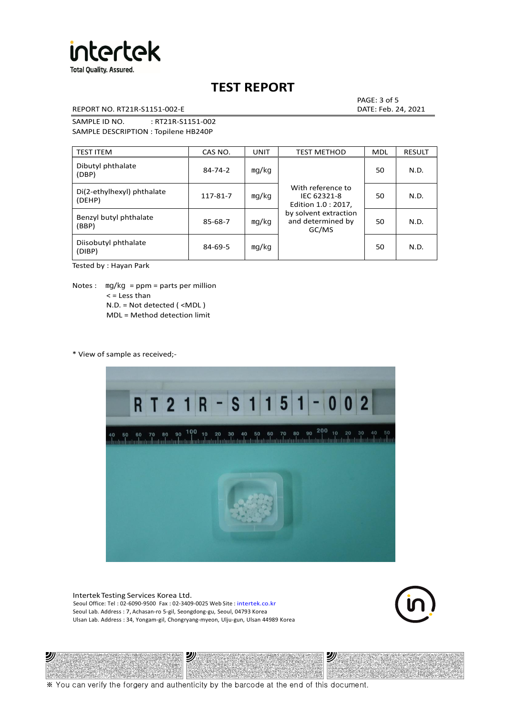

REPORT NO. RT21R-S1151-002-E DATE: Feb. 24, 2021

PAGE: 3 of 5

SAMPLE ID NO. : RT21R-S1151-002 SAMPLE DESCRIPTION : Topilene HB240P

| <b>TEST ITEM</b>                     | CAS NO.       | <b>UNIT</b> | <b>TEST METHOD</b>                                      | <b>MDL</b> | <b>RESULT</b> |
|--------------------------------------|---------------|-------------|---------------------------------------------------------|------------|---------------|
| Dibutyl phthalate<br>(DBP)           | $84 - 74 - 2$ | mg/kg       | With reference to<br>IEC 62321-8<br>Edition 1.0 : 2017, | 50         | N.D.          |
| Di(2-ethylhexyl) phthalate<br>(DEHP) | 117-81-7      | mg/kg       |                                                         | 50         | N.D.          |
| Benzyl butyl phthalate<br>(BBP)      | 85-68-7       | mg/kg       | by solvent extraction<br>and determined by<br>GC/MS     | 50         | N.D.          |
| Diisobutyl phthalate<br>(DIBP)       | $84 - 69 - 5$ | mg/kg       |                                                         | 50         | N.D.          |

Tested by : Hayan Park

Notes :  $mq/kg = ppm = parts per million$  $<$  = Less than N.D. = Not detected ( <MDL ) MDL = Method detection limit

\* View of sample as received;-

沙



Intertek Testing Services Korea Ltd. Seoul Office: Tel : 02-6090-9500 Fax : 02-3409-0025 Web Site : intertek.co.kr Seoul Lab. Address : 7, Achasan-ro 5-gil, Seongdong-gu, Seoul, 04793 Korea Ulsan Lab. Address : 34, Yongam-gil, Chongryang-myeon, Ulju-gun, Ulsan 44989 Korea

沙



沙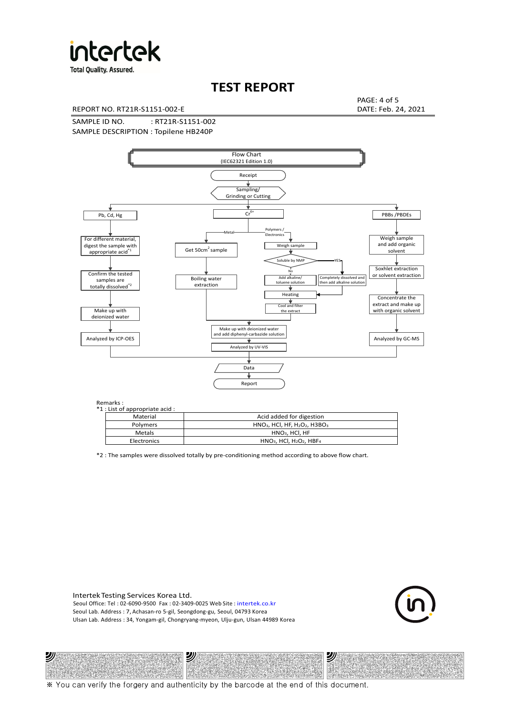

**Total Quality. Assured.** 

# **TEST REPORT**

REPORT NO. RT21R-S1151-002-E DATE: Feb. 24, 2021

PAGE: 4 of 5

SAMPLE ID NO. : RT21R-S1151-002 SAMPLE DESCRIPTION : Topilene HB240P



Remarks :

沙

| . د ۱۱۱ تا ۱۰<br>1 : List of appropriate acid : |                                                                     |
|-------------------------------------------------|---------------------------------------------------------------------|
| Material                                        | Acid added for digestion                                            |
| Polymers                                        | $HNO3$ , HCl, HF, H <sub>2</sub> O <sub>2</sub> , H3BO <sub>3</sub> |
| <b>Metals</b>                                   | $HNO3$ , HCl, HF                                                    |
| Electronics                                     | $HNO3$ , HCl, H <sub>2</sub> O <sub>2</sub> , HBF <sub>4</sub>      |
|                                                 |                                                                     |

\*2 : The samples were dissolved totally by pre-conditioning method according to above flow chart.

Intertek Testing Services Korea Ltd. Seoul Office: Tel : 02-6090-9500 Fax : 02-3409-0025 Web Site : intertek.co.kr Seoul Lab. Address : 7, Achasan-ro 5-gil, Seongdong-gu, Seoul, 04793 Korea Ulsan Lab. Address : 34, Yongam-gil, Chongryang-myeon, Ulju-gun, Ulsan 44989 Korea

沙



沙